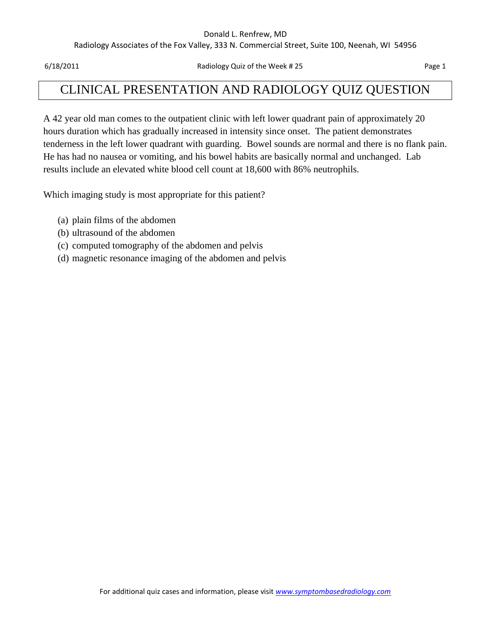#### Donald L. Renfrew, MD

Radiology Associates of the Fox Valley, 333 N. Commercial Street, Suite 100, Neenah, WI 54956

6/18/2011 Radiology Quiz of the Week # 25 Page 1

## CLINICAL PRESENTATION AND RADIOLOGY QUIZ QUESTION

A 42 year old man comes to the outpatient clinic with left lower quadrant pain of approximately 20 hours duration which has gradually increased in intensity since onset. The patient demonstrates tenderness in the left lower quadrant with guarding. Bowel sounds are normal and there is no flank pain. He has had no nausea or vomiting, and his bowel habits are basically normal and unchanged. Lab results include an elevated white blood cell count at 18,600 with 86% neutrophils.

Which imaging study is most appropriate for this patient?

- (a) plain films of the abdomen
- (b) ultrasound of the abdomen
- (c) computed tomography of the abdomen and pelvis
- (d) magnetic resonance imaging of the abdomen and pelvis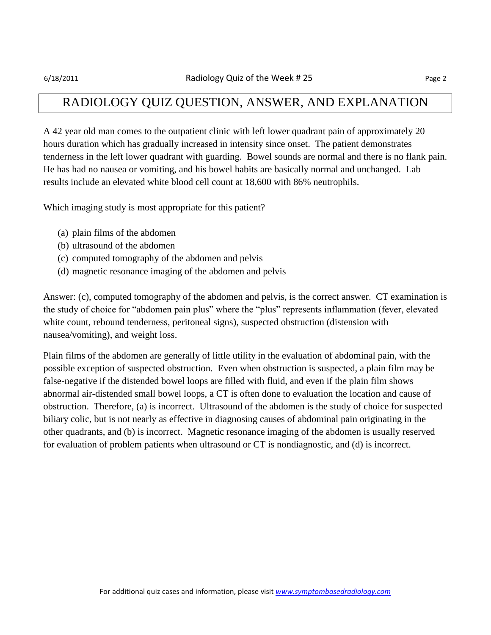### RADIOLOGY QUIZ QUESTION, ANSWER, AND EXPLANATION

A 42 year old man comes to the outpatient clinic with left lower quadrant pain of approximately 20 hours duration which has gradually increased in intensity since onset. The patient demonstrates tenderness in the left lower quadrant with guarding. Bowel sounds are normal and there is no flank pain. He has had no nausea or vomiting, and his bowel habits are basically normal and unchanged. Lab results include an elevated white blood cell count at 18,600 with 86% neutrophils.

Which imaging study is most appropriate for this patient?

- (a) plain films of the abdomen
- (b) ultrasound of the abdomen
- (c) computed tomography of the abdomen and pelvis
- (d) magnetic resonance imaging of the abdomen and pelvis

Answer: (c), computed tomography of the abdomen and pelvis, is the correct answer. CT examination is the study of choice for "abdomen pain plus" where the "plus" represents inflammation (fever, elevated white count, rebound tenderness, peritoneal signs), suspected obstruction (distension with nausea/vomiting), and weight loss.

Plain films of the abdomen are generally of little utility in the evaluation of abdominal pain, with the possible exception of suspected obstruction. Even when obstruction is suspected, a plain film may be false-negative if the distended bowel loops are filled with fluid, and even if the plain film shows abnormal air-distended small bowel loops, a CT is often done to evaluation the location and cause of obstruction. Therefore, (a) is incorrect. Ultrasound of the abdomen is the study of choice for suspected biliary colic, but is not nearly as effective in diagnosing causes of abdominal pain originating in the other quadrants, and (b) is incorrect. Magnetic resonance imaging of the abdomen is usually reserved for evaluation of problem patients when ultrasound or CT is nondiagnostic, and (d) is incorrect.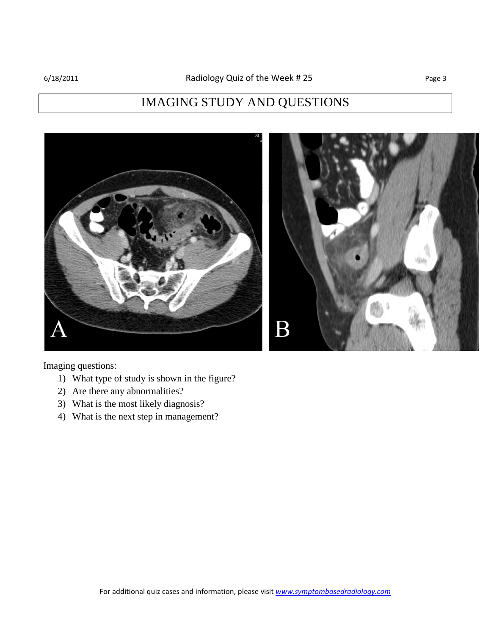# IMAGING STUDY AND QUESTIONS



Imaging questions:

- 1) What type of study is shown in the figure?
- 2) Are there any abnormalities?
- 3) What is the most likely diagnosis?
- 4) What is the next step in management?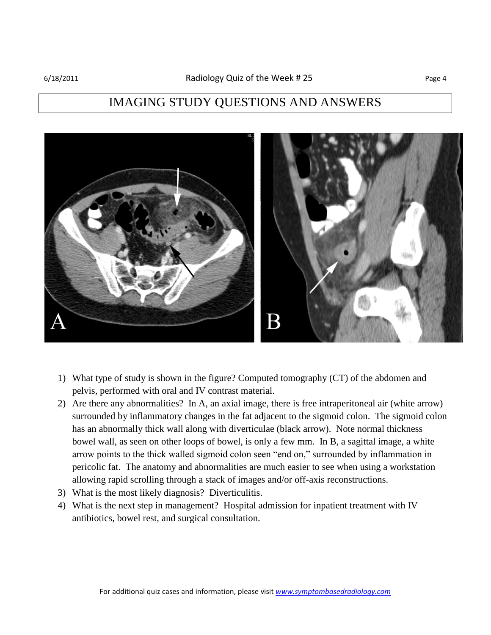### IMAGING STUDY QUESTIONS AND ANSWERS



- 1) What type of study is shown in the figure? Computed tomography (CT) of the abdomen and pelvis, performed with oral and IV contrast material.
- 2) Are there any abnormalities? In A, an axial image, there is free intraperitoneal air (white arrow) surrounded by inflammatory changes in the fat adjacent to the sigmoid colon. The sigmoid colon has an abnormally thick wall along with diverticulae (black arrow). Note normal thickness bowel wall, as seen on other loops of bowel, is only a few mm. In B, a sagittal image, a white arrow points to the thick walled sigmoid colon seen "end on," surrounded by inflammation in pericolic fat. The anatomy and abnormalities are much easier to see when using a workstation allowing rapid scrolling through a stack of images and/or off-axis reconstructions.
- 3) What is the most likely diagnosis? Diverticulitis.
- 4) What is the next step in management? Hospital admission for inpatient treatment with IV antibiotics, bowel rest, and surgical consultation.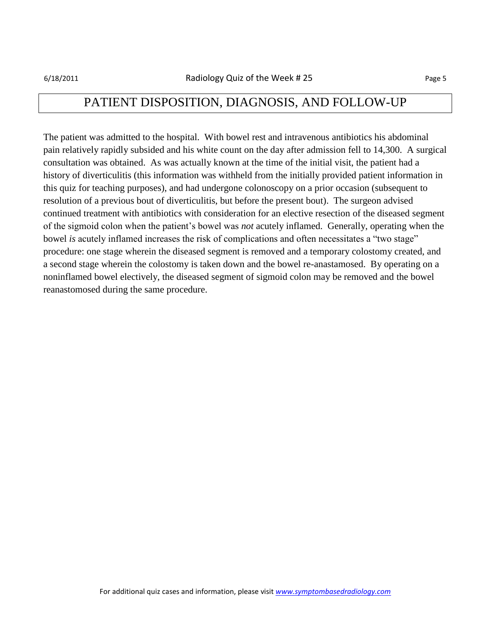### PATIENT DISPOSITION, DIAGNOSIS, AND FOLLOW-UP

The patient was admitted to the hospital. With bowel rest and intravenous antibiotics his abdominal pain relatively rapidly subsided and his white count on the day after admission fell to 14,300. A surgical consultation was obtained. As was actually known at the time of the initial visit, the patient had a history of diverticulitis (this information was withheld from the initially provided patient information in this quiz for teaching purposes), and had undergone colonoscopy on a prior occasion (subsequent to resolution of a previous bout of diverticulitis, but before the present bout). The surgeon advised continued treatment with antibiotics with consideration for an elective resection of the diseased segment of the sigmoid colon when the patient's bowel was *not* acutely inflamed. Generally, operating when the bowel *is* acutely inflamed increases the risk of complications and often necessitates a "two stage" procedure: one stage wherein the diseased segment is removed and a temporary colostomy created, and a second stage wherein the colostomy is taken down and the bowel re-anastamosed. By operating on a noninflamed bowel electively, the diseased segment of sigmoid colon may be removed and the bowel reanastomosed during the same procedure.